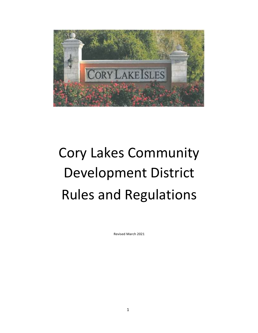

# Cory Lakes Community Development District Rules and Regulations

Revised March 2021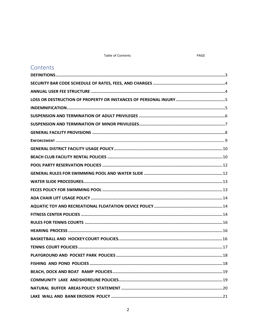#### **Table of Contents**

| Contents |
|----------|
|          |
|          |
|          |
|          |
|          |
|          |
|          |
|          |
|          |
|          |
|          |
|          |
|          |
|          |
|          |
|          |
|          |
|          |
|          |
|          |
|          |
|          |
|          |
|          |
|          |
|          |
|          |
|          |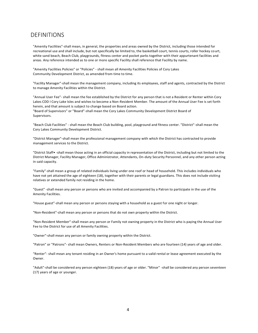#### <span id="page-3-0"></span>DEFINITIONS

"Amenity Facilities"-shall mean, in general, the properties and areas owned by the District, including those intended for recreational use and shall include, but not specifically be limited to, the basketball court, tennis courts, roller hockey court, white sand beach, Beach Club, playgrounds, fitness center and pocket parks together with their appurtenant facilities and areas. Any reference intended as to one or more specific Facility shall reference that Facility by name.

"Amenity Facilities Policies" or "Policies" - shall mean all Amenity Facilities Policies of Cory Lakes Community Development District, as amended from time to time.

"Facility Manager"-shall mean the management company, including its employees, staff and agents, contracted by the District to manage Amenity Facilities within the District.

"Annual User Fee"- shall mean the fee established by the District for any person that is not a Resident or Renter within Cory Lakes CDD I Cory Lake Isles and wishes to become a Non-Resident Member. The amount of the Annual User Fee is set forth herein, and that amount is subject to change based on Board action.

"Board of Supervisors" or "Board"-shall mean the Cory Lakes Community Development District Board of Supervisors.

"Beach Club Facilities" - shall mean the Beach Club building, pool, playground and fitness center. "District"-shall mean the Cory Lakes Community Development District.

"District Manager"-shall mean the professional management company with which the District has contracted to provide management services to the District.

"District Staff• -shall mean those acting in an official capacity in representation of the District, including but not limited to the District Manager, Facility Manager, Office Administrator, Attendants, On-duty Security Personnel, and any other person acting in said capacity.

"Family"-shall mean a group of related individuals living under one roof or head of household. This includes individuals who have not yet attained the age of eighteen (18), together with their parents or legal guardians. This does not include visiting relatives or extended family not residing in the home.

"Guest" -shall mean any person or persons who are invited and accompanied by a Patron to participate in the use of the Amenity Facilities.

"House guest"-shall mean any person or persons staying with a household as a guest for one night or longer.

"Non-Resident"-shall mean any person or persons that do not own property within the District.

"Non-Resident Member"-shall mean any person or Family not owning property in the District who is paying the Annual User Fee to the District for use of all Amenity Facilities.

"Owner"-shall mean any person or family owning property within the District.

"Patron" or "Patrons"- shall mean Owners, Renters or Non-Resident Members who are fourteen (14) years of age and older.

"Renter"- shall mean any tenant residing in an Owner's home pursuant to a valid rental or lease agreement executed by the Owner.

"Adult"-shall be considered any person eighteen (18) years of age or older. "Minor" -shall be considered any person seventeen (17) years of age or younger.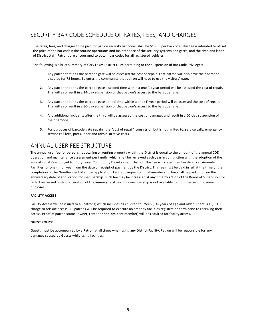# <span id="page-4-0"></span>SECURITY BAR CODE SCHEDULE OF RATES, FEES, AND CHARGES

The rates, fees, and charges to be paid for patron security bar codes shall be \$15.00 per bar code. This fee is intended to offset the price of the bar codes; the routine operations and maintenance of the security systems and gates, and the time and labor of District staff. Patrons are encouraged to obtain bar codes for all registered vehicles.

The following is a brief summary of Cory Lakes District rules pertaining to the suspension of Bar Code Privileges:

- 1. Any patron that hits the barcode gate will be assessed the cost of repair. That patron will also have their barcode disabled for 72 hours. To enter the community that patron will have to use the visitors' gate.
- 2. Any patron that hits the barcode gate a second time within a one (1) year period will be assessed the cost of repair. This will also result in a 14-day suspension of that patron's access to the barcode lane.
- 3. Any patron that hits the barcode gate a third time within a one (1) year period will be assessed the cost of repair. This will also result in a 30-day suspension of that patron's access to the barcode lane.
- 4. Any additional incidents after the third will be assessed the cost of damages and result in a 60-day suspension of their barcode.
- 5. For purposes of barcode gate repairs, the "cost of repair" consists of, but is not limited to, service calls, emergency service call fees, parts, labor and administrative costs.

## <span id="page-4-1"></span>ANNUAL USER FEE STRUCTURE

The annual user fee for persons not owning or renting property within the District is equal to the amount of the annual CDD operation and maintenance assessment per family, which shall be reviewed each year in conjunction with the adoption of the annual Fiscal Year budget for Cory Lakes Community Development District. This fee will cover membership to all Amenity Facilities for one (I) full year from the date of receipt of payment by the District. This fee must be paid in full at the time of the completion of the Non-Resident Member application. Each subsequent annual membership fee shall be paid in full on the anniversary date of application for membership. Such fee may be increased at any time by action of the Board of Supervisors to reflect increased costs of operation of the amenity facilities. This membership is not available for commercial or business purposes.

#### **FACILITY ACCESS**

Facility Access will be issued to all patrons; which includes all children fourteen (14) years of age and older. There is a \$10.00 charge to reissue access. All patrons will be required to execute an amenity facilities registration form prior to receiving their access. Proof of patron status (owner, renter or non-resident member) will be required for facility access.

#### **GUEST POLICY**

Guests must be accompanied by a Patron at all times when using any District Facility. Patron will be responsible for any damages caused by Guests while using facilities.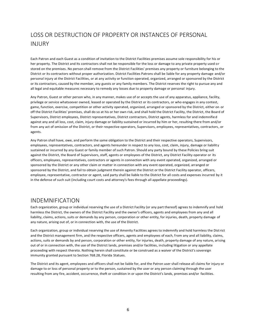# <span id="page-5-0"></span>LOSS OR DESTRUCTION OF PROPERTY OR INSTANCES OF PERSONAL INJURY

Each Patron and each Guest as a condition of invitation to the District Facilities premises assume sole responsibility for his or her property. The District and Its contractors shall not be responsible for the loss or damage to any private property used or stored on the premises. No person shall remove from the District Facilities' premises any property or furniture belonging to the District or its contractors without proper authorization. District Facilities Patrons shall be liable for any property damage and/or personal injury at the District Facilities, or at any activity or function operated, organized, arranged or sponsored by the District or its contractors, caused by the member, any guests or any family members. The District reserves the right to pursue any and all legal and equitable measures necessary to remedy any losses due to property damage or personal injury.

Any Patron, Guest or other person who, in any manner, makes use of or accepts the use of any apparatus, appliance, facility, privilege or service whatsoever owned, leased or operated by the District or its contractors, or who engages in any contest, game, function, exercise, competition or other activity operated, organized, arranged or sponsored by the District, either on or off the District Facilities' premises, shall do so at his or her own risk, and shall hold the District Facility, the District, the Board of Supervisors, District employees, District representatives, District contractors, District agents, harmless for and indemnified against any and all loss, cost, claim, injury damage or liability sustained or incurred by him or her, resulting there from and/or from any act of omission of the District, or their respective operators, Supervisors, employees, representatives, contractors, or agents.

Any Patron shall have, owe, and perform the same obligation to the District and their respective operators, Supervisors, employees, representatives, contractors, and agents hereunder in respect to any loss, cost, claim, injury, damage or liability sustained or incurred by any Guest or family member of such Patron. Should any party bound by these Policies bring suit against the District, the Board of Supervisors, staff, agents or employees of the District, any District Facility operator or its officers, employees, representatives, contractors or agents in connection with any event operated, organized, arranged or sponsored by the District or any other claim or matter in connection with any event operated, organized, arranged or sponsored by the District, and fail to obtain judgment therein against the District or the District Facility operator, officers, employee, representative, contractor or agent, said party shall be liable to the District for all costs and expenses incurred by it in the defense of such suit (including court costs and attorney's fees through all appellate proceedings).

#### <span id="page-5-1"></span>INDEMNIFICATION

Each organization, group or individual reserving the use of a District Facility (or any part thereof) agrees to indemnify and hold harmless the District, the owners of the District Facility and the owner's officers, agents and employees from any and all liability, claims, actions, suits or demands by any person, corporation or other entity, for injuries, death, property damage of any nature, arising out of, or in connection with, the use of the District.

Each organization, group or individual reserving the use of Amenity Facilities agrees to indemnify and hold harmless the District and the District management firm, and the respective officers, agents and employees of each, from any and all liability, claims, actions, suits or demands by and person, corporation or other entity, for injuries, death, property damage of any nature, arising out of or in connection with, the use of the District lands, premises and/or facilities, including litigation or any appellate proceeding with respect thereto. Nothing herein shall constitute or be construed as a waiver of the District's sovereign immunity granted pursuant to Section 768.28, Florida Statues.

The District and its agent, employees and officers shall not be liable for, and the Patron user shall release all claims for injury or damage to or loss of personal property or to the person, sustained by the user or any person claiming through the user resulting from any fire, accident, occurrence, theft or condition in or upon the District's lands, premises and/or facilities.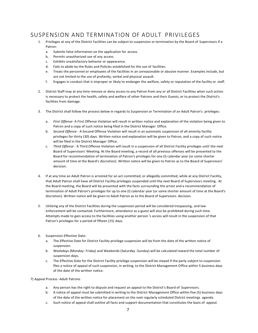## <span id="page-6-0"></span>SUSPENSION AND TERMINATION OF ADULT PRIVILEGES

- 1. Privileges at any of the District Facilities can be subject to suspension or termination by the Board of Supervisors if a Patron:
	- a. Submits false information on the application for access.
	- b. Permits unauthorized use of any access.
	- c. Exhibits unsatisfactory behavior or appearance.
	- d. Fails to abide by the Rules and Policies established for the use of facilities.
	- e. Treats the personnel or employees of the facilities in an unreasonable or abusive manner. Examples include, but are not limited to the use of profanity, verbal and physical assault.
	- f. Engages in conduct that is improper or likely to endanger the welfare, safety or reputation of the facility or staff.
- 2. District Staff may at any time remove or deny access to any Patron from any or all District Facilities when such action is necessary to protect the health, safety and welfare of other Patrons and their Guests, or to protect the District's facilities from damage.
- 3. The District shall follow the process below in regards to Suspension or Termination of an Adult Patron's privileges:
	- a. *First Offense* A First Offense Violation will result in written notice and explanation of the violation being given to Patron and a copy of such notice being filed in the District Manager Office.
	- b. *Second Offense*  A Second Offense Violation will result in an automatic suspension of all amenity facility privileges for thirty (30) days. Written notice and explanation will be given to Patron, and a copy of such notice will be filed in the District Manager Office.
	- c. *Third Offense*  A Third Offense Violation will result in a suspension of all District Facility privileges until the next Board of Supervisors' Meeting. At the Board meeting, a record of all previous offenses will be presented to the Board for recommendation of termination of Patron's privileges for one (I) calendar year (or some shorter amount of time at the Board's discretion). Written notice will be given to Patron as to the Board of Supervisors' decision.
- 4. If at any time an Adult Patron is arrested for an act committed, or allegedly committed, while at any District Facility, that Adult Patron shall have all District Facility privileges suspended until the next Board of Supervisors meeting. At the Board meeting, the Board will be presented with the facts surrounding the arrest and a recommendation of termination of Adult Patron's privileges for up to one (I) calendar year (or some shorter amount of time at the Board's discretion). Written notice will be given to Adult Patron as to the Board of Supervisors decision.
- 5. Utilizing any of the District Facilities during the suspension period will be considered trespassing, and law enforcement will be contacted. Furthermore, attendance as a guest will also be prohibited during such time. Attempts made to gain access to the facilities using another person 's access will result in the suspension of that Patron's privileges for a period of fifteen (15) days.
- 6. Suspension Effective Date:
	- a. The Effective Date for District Facility privilege suspension will be from the date of the written notice of suspension.
	- b. Weekdays (Monday- Friday) and Weekends (Saturday -Sunday) will be calculated toward the total number of suspension days.
	- c. The Effective Date for the District Facility privilege suspension will be stayed if the party subject to suspension files a notice of appeal of such suspension, in writing, to the District Management Office within 5 business days of the date of the written notice.
- 7) Appeal Process -Adult Patrons
	- a. Any person has the right to dispute and request an appeal to the District's Board of Supervisors.
	- b. A notice of appeal must be submitted in writing to the District Management Office within five (5) business days of the date of the written notice for placement on the next regularly scheduled District meetings agenda.
	- c. Such notice of appeal shall outline all facts and support documentation that constitutes the basis of appeal.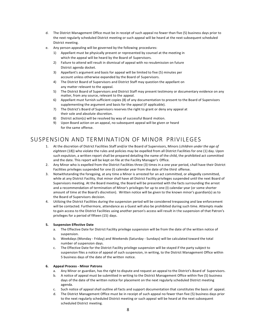- d. The District Management Office must be in receipt of such appeal no fewer than five (5) business days prior to the next regularly scheduled District meeting or such appeal will be heard at the next subsequent scheduled District meeting.
- e. Any person appealing will be governed by the following procedures:
	- 1) Appellant must be physically present or represented by counsel at the meeting in which the appeal will be heard by the Board of Supervisors.
	- 2) Failure to attend will result in dismissal of appeal with no resubmission on future District agenda docket.
	- 3) Appellant's argument and basis for appeal will be limited to five (5) minutes per account unless otherwise expanded by the Board of Supervisors.
	- 4) The District Board of Supervisors and District Staff may question the appellant on any matter relevant to the appeal.
	- 5) The District Board of Supervisors and District Staff may present testimony or documentary evidence on any matter, from any source, relevant to the appeal.
	- 6) Appellant must furnish sufficient copies (8) of any documentation to present to the Board of Supervisors supplementing the argument and basis for the appeal (if applicable).
	- 7) The District's Board of Supervisors reserves the right to grant or deny any appeal at their sole and absolute discretion.
	- 8) District action(s) will be resolved by way of successful Board motion.
	- 9) Upon Board action on an appeal, no subsequent appeal will be given or heard for the same offense.

## <span id="page-7-0"></span>SUSPENSION AND TERMINATION OF MINOR PRIVILEGES

- 1. At the discretion of District Facilities Staff and/or the Board of Supervisors, Minors (*children under the age of eighteen* (18)) who violate the rules and policies may be expelled from all District Facilities for one (1) day. Upon such expulsion, a written report shall be prepared detailing the name of the child, the prohibited act committed and the date. This report will be kept on file at the Facility Manager's Office.
- 2. Any Minor who is expelled from the District Facilities three (3) times in a one year period, shall have their District Facilities privileges suspended for one (I) calendar year from the date of the third offense.
- 3. Notwithstanding the foregoing, at any time a Minor is arrested for an act committed, or allegedly committed, while at any District Facility, that minor shall have all District Facility privileges suspended until the next Board of Supervisors meeting. At the Board meeting, the Board will be presented with the facts surrounding the arrest and a recommendation of termination of Minor's privileges for up to one (I) calendar year (or some shorter amount of time at the Board's discretion). Written notice will be given to the known minor's guardian(s) as to the Board of Supervisors decision.
- 4. Utilizing the District Facilities during the suspension period will be considered trespassing and law enforcement will be contacted. Furthermore, attendance as a Guest will also be prohibited during such time. Attempts made to gain access to the District Facilities using another person's access will result in the suspension of that Patron's privileges for a period of fifteen (15) days.

#### **5. Suspension Effective Date**

- a. The Effective Date for District Facility privilege suspension will be from the date of the written notice of suspension.
- b. Weekdays (Monday Friday) and Weekends (Saturday Sundays) will be calculated toward the total number of suspension days.
- c. The Effective Date for the District Facility privilege suspension will be stayed if the party subject to suspension files a notice of appeal of such suspension, in writing, to the District Management Office within 5 business days of the date of the written notice.

#### **6. Appeal Process - Minor Patrons**

- a. Any Minor or guardian, has the right to dispute and request an appeal to the District's Board of Supervisors.
- b. A notice of appeal must be submitted in writing to the District Management Office within five (5) business days of the date of the written notice for placement on the next regularly scheduled District meeting agenda.
- c. Such notice of appeal shall outline all facts and support documentation that constitutes the basis of appeal.
- d. The District Management Office must be in receipt of such appeal no fewer than five (5) business days prior to the next regularly scheduled District meeting or such appeal will be heard at the next subsequent scheduled District meeting.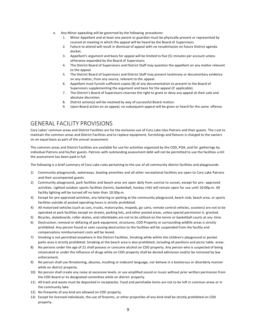- e. Any Minor appealing will be governed by the following procedures:
	- 1. Minor Appellant and at least one parent or guardian must be physically present or represented by counsel at meeting in which the appeal will be heard by the Board of Supervisors.
	- 2. Failure to attend will result in dismissal of appeal with no resubmission on future District agenda docket.
	- 3. Appellant's argument and basis for appeal will be limited to five (5) minutes per account unless otherwise expanded by the Board of Supervisors.
	- 4. The District Board of Supervisors and District Staff may question the appellant on any matter relevant to the appeal.
	- 5. The District Board of Supervisors and District Staff may present testimony or documentary evidence on any matter, from any source, relevant to the appeal.
	- 6. Appellant must furnish sufficient copies (8) of any documentation to present to the Board of Supervisors supplementing the argument and basis for the appeal (if applicable).
	- 7. The District's Board of Supervisors reserves the right to grant or deny any appeal at their sole and absolute discretion.
	- 8. District action(s) will be resolved by way of successful Board motion.
	- 9. Upon Board action on an appeal, no subsequent appeal will be given or heard for the same offense.

#### <span id="page-8-0"></span>GENERAL FACILITY PROVISIONS

Cory Lakes' common areas and District Facilities are for the exclusive use of Cory Lake Isles Patrons and their guests. The cost to maintain the common areas and District Facilities and to replace equipment, furnishings and fixtures is charged to the owners on an equal basis as part of the annual assessment.

The common areas and District Facilities are available for use for activities organized by the CDD, POA, and for gatherings by individual Patrons and his/her guests. Patrons with outstanding assessment debt will not be permitted to use the facilities until the assessment has been paid in full.

The following is a brief summary of Cory Lake rules pertaining to the use of all community district facilities and playgrounds:

- 1) Community playgrounds, waterways, boating amenities and all other recreational facilities are open to Cory Lake Patrons and their accompanied guests
- 2) Community playground, park facilities and beach area are open daily from sunrise to sunset, except for pre- approved activities. Lighted outdoor sports facilities (tennis, basketball, hockey rink) will remain open for use until 10:00p.m. All facility lighting will be turned off no later than 10:30p.m.
- 3) Except for pre-approved activities, any loitering or parking at the community playground, beach club, beach area, or sports facilities outside of posted operating hours is strictly prohibited.
- 4) All motorized vehicles (such as cars, trucks, motorcycles, mopeds, go carts, remote control vehicles, scooters) are not to be operated at park facilities except on streets, parking lots, and other posted areas, unless special permission is granted.
- 5) Bicycles, skateboards, roller-skates, and rollerblades are not to be utilized on the tennis or basketball courts at any time.
- 6) Destruction, removal or defacing of park equipment, structures, CDD Property or surrounding wildlife areas is strictly prohibited. Any person found or seen causing destruction to the facilities will be suspended from the facility and compensatory reimbursement costs will be levied.
- 7) Smoking is not permitted anywhere in the District Facilities. Smoking while within the children's playground or pocket parks area is strictly prohibited. Smoking at the beach area is also prohibited, including all pavilions and picnic table areas.
- 8) No persons under the age of 21 shall possess or consume alcohol on CDD property. Any person who is suspected of being intoxicated or under the influence of drugs while on CDD property shall be denied admission and/or be removed by law enforcement.
- 9) No person shall use threatening, abusive, insulting or indecent language, nor behave in a boisterous or disorderly manner while on district property.
- 10) No person shall create any noise at excessive levels, or use amplified sound or music without prior written permission from the CDD Board or its designated committee while on district property.
- 11) All trash and waste must be deposited in receptacles. Food and perishable items are not to be left in common areas or in the community lake.
- 12) No fireworks of any kind are allowed on CDD property.
- 13) Except for licensed individuals, the use of firearms, or other projectiles of any kind shall be strictly prohibited on CDD property.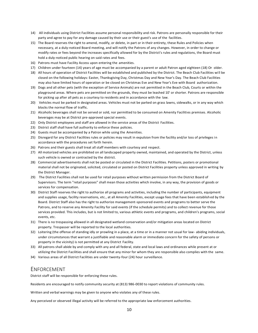- 14) All individuals using District Facilities assume personal responsibility and risk. Patrons are personally responsible for their party and agree to pay for any damage caused by their use or their guest's use of the facilities.
- 15) The Board reserves the right to amend, modify, or delete, in part or in their entirety, these Rules and Policies when necessary, at a duly-noticed Board meeting, and will notify the Patrons of any changes. However, in order to change or modify rates or fees beyond the increases specifically allowed for by the District's rules and regulations, the Board must hold a duly-noticed public hearing on said rates and fees.
- 16) Patrons must have Facility Access upon entering the amenities.
- 17) Children under fourteen (14) years of age must be accompanied by a parent or adult Patron aged eighteen (18) Or older.
- 18) All hours of operation of District Facilities will be established and published by the District. The Beach Club Facilities wi ll be closed on the following holidays: Easter, Thanksgiving Day, Christmas Day and New Year's Day. The Beach Club Facilities may also have limited hours of operation or be closed on Christmas Eve and New Year's Eve with Board authorization.
- 19) Dogs and all other pets (with the exception of Service Animals) are not permitted in the Beach Club, Courts or within the playground areas. Where pets are permitted on the grounds, they must be leashed 10' or shorter. Patrons are responsible for picking up after all pets as a courtesy to residents and in accordance with the law.
- 20) Vehicles must be parked in designated areas. Vehicles must not be parked on grass lawns, sidewalks, or in any way which blocks the normal flow of traffic.
- 21) Alcoholic beverages shall not be served or sold, nor permitted to be consumed on Amenity Facilities premises. Alcoholic beverages may be at District pre-approved special events.
- 22) Only District employees and staff are allowed in the service areas of the District Facilities.
- 23) District staff shall have full authority to enforce these policies.
- 24) Guests must be accompanied by a Patron while using the Amenities.
- 25) Disregard for any District Facilities rules or policies may result in expulsion from the facility and/or loss of privileges in accordance with the procedures set forth herein.
- 26) Patrons and their guests shall treat all staff members with courtesy and respect.
- 27) All motorized vehicles are prohibited on all landscaped property owned, maintained, and operated by the District, unless such vehicle is owned or contracted by the district.
- 28) Commercial advertisements shall not be posted or circulated in the District Facilities. Petitions, posters or promotional material shall not be originated, solicited, circulated or posted on District Facilities property unless approved in writing by the District Manager.
- 29) The District Facilities shall not be used for retail purposes without written permission from the District Board of Supervisors. The term "retail purposes" shall mean those activities which involve, in any way, the provision of goods or services for compensation.
- 30) District Staff reserves the right to authorize all programs and activities, including the number of participants, equipment and supplies usage, facility reservations, etc., at all Amenity Facilities, except usage fees that have been established by the Board. District Staff also has the right to authorize management-sponsored events and programs to better serve the Patrons, and to reserve any Amenity Facility for said events (if the schedule permits) and to collect revenue for those services provided. This includes, but is not limited to, various athletic events and programs, and children's programs, social events, etc.
- 31) There is no trespassing allowed in all designated wetland conservation and/or mitigation areas located on District property. Trespasser will be reported to the local authorities.
- 32) Loitering (the offense of standing idly or prowling in a place, at a time or in a manner not usual for law- abiding individuals, under circumstances that warrant a justifiable and reasonable alarm or immediate concern for the safety of persons or property in the vicinity) is not permitted at any District Facility.
- 33) All patrons shall abide by and comply with any and all federal, state and local laws and ordinances while present at or utilizing the District Facilities and shall ensure that any minor for whom they are responsible also complies with the same.
- 34) Various areas of all District Facilities are under twenty-four (24) hour surveillance.

#### <span id="page-9-0"></span>ENFORCEMENT

District staff will be responsible for enforcing these rules.

Residents are encouraged to notify community security at (813) 986-0030 to report violations of community rules.

Written and verbal warnings may be given to anyone who violates any of these rules.

Any perceived or observed illegal activity will be referred to the appropriate law enforcement authorities.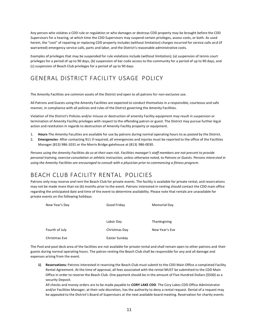Any person who violates a CDD rule or regulation or who damages or destroys CDD property may be brought before the CDD Supervisors for a hearing, at which time the CDD Supervisors may suspend certain privileges, assess costs, or both. As used herein, the "cost" of repairing or replacing CDD property includes (without limitation) charges incurred for service calls and (if warranted) emergency service calls, parts and labor, and the District's reasonable administrative costs.

Examples of privileges that may be suspended for rule violations include (without limitation); (a) suspension of tennis court privileges for a period of up to 90 days, (b) suspension of bar code access to the community for a period of up to 90 days, and (c) suspension of Beach Club privileges for a period of up to 90 days.

# <span id="page-10-0"></span>GENERAL DISTRICT FACILITY USAGE POLICY

The Amenity Facilities are common assets of the District and open to all patrons for non-exclusive use.

All Patrons and Guests using the Amenity Facilities are expected to conduct themselves in a responsible, courteous and safe manner, in compliance with all policies and rules of the District governing the Amenity Facilities.

Violation of the District's Policies and/or misuse or destruction of amenity Facility equipment may result in suspension or termination of Amenity Facility privileges with respect to the offending patron or guest. The District may pursue further legal action and restitution in regards to destruction of Amenity Facility property or equipment.

- 1. **Hours**-The Amenity Faculties are available for use by patrons during normal operating hours to as posted by the District.
- 2. **Emergencies** After contacting 911 if required; all emergencies and injuries must be reported to the office of the Facilities Manager (813) 986-1031 or the Morris Bridge gatehouse at (813) 986-0030.

*Persons using the Amenity Facilities do so at their own risk. Facilities manager's staff members are not present to provide personal training, exercise consolation or athletic instruction, unless otherwise noted, to Patrons or Guests. Persons interested in using the Amenity Facilities are encouraged to consult with a physician prior to commencing a fitness program.*

# <span id="page-10-1"></span>BEACH CLUB FACILITY RENTAL POLICIES

Patrons only may reserve and rent the Beach Club for private events. The facility is available for private rental, and reservations may not be made more than six (6) months prior to the event. Patrons interested in renting should contact the CDD main office regarding the anticipated date and time of the event to determine availability. Please note that rentals are unavailable for private events on the following holidays:

| New Year's Day | Good Friday   | Memorial Day   |
|----------------|---------------|----------------|
|                | Labor Day     | Thanksgiving   |
| Fourth of July | Christmas Day | New Year's Eve |
| Christmas Eve  | Easter Sunday |                |

The Pool and pool deck area of the facilities are not available for private rental and shall remain open to other patrons and their guests during normal operating hours. The patron renting the Beach Club shall be responsible for any and all damage and expenses arising from the event.

**1) Reservations:** Patrons interested in reserving the Beach Club must submit to the CDD Main Office a completed Facility Rental Agreement. At the time of approval, all fees associated with the rental MUST be submitted to the CDD Main Office in order to reserve the Beach Club. One payment should be in the amount of Five Hundred Dollars (\$500) as a security Deposit.

All checks and money orders are to be made payable to **CORY LAKE CDD**. The Cory Lakes CDD Office Administrator and/or Facilities Manager, at their sole discretion, has the authority to deny a rental request. Denial of a request may be appealed to the District's Board of Supervisors at the next available board meeting. Reservation for charity events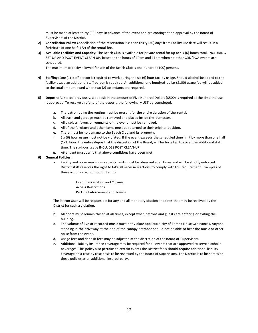must be made at least thirty (30) days in advance of the event and are contingent on approval by the Board of Supervisors of the District.

- **2) Cancellation Policy:** Cancellation of the reservation less than thirty (30) days from Facility use date will result in a forfeiture of one half (1/2) of the rental fee.
- **3) Available Facilities and Capacity:** The Beach Club is available for private rental for up to six (6) hours total. INCLUDING SET UP AND POST-EVENT CLEAN UP, between the hours of 10am and 11pm when no other CDD/POA events are scheduled.

The maximum capacity allowed for use of the Beach Club is one hundred (100) persons.

- **4) Staffing:** One (1) staff person is required to work during the six (6) hour facility usage. Should alcohol be added to the facility usage an additional staff person is required. An additional one hundred-dollar (\$100) usage fee will be added to the total amount owed when two (2) attendants are required.
- **5) Deposit:** As stated previously, a deposit in the amount of Five Hundred Dollars (\$500) is required at the time the use is approved. To receive a refund of the deposit, the following MUST be completed.
	- a. The patron doing the renting must be present for the entire duration of the rental.
	- b. All trash and garbage must be removed and placed inside the dumpster.
	- c. All displays, favors or remnants of the event must be removed.
	- d. All of the furniture and other items must be returned to their original position.
	- e. There must be no damage to the Beach Club and its property.
	- f. Six (6) hour usage must not be violated. If the event exceeds the scheduled time limit by more than one half (1/2) hour, the entire deposit, at the discretion of the Board, will be forfeited to cover the additional staff time. The six-hour usage INCLUDES POST CLEAN-UP.
	- g. Attendant must verify that above conditions have been met.
- **6) General Policies:**
	- a. Facility and room maximum capacity limits must be observed at all times and will be strictly enforced. District staff reserves the right to take all necessary actions to comply with this requirement. Examples of these actions are, but not limited to:
		- Event Cancellation and Closure Access Restrictions Parking Enforcement and Towing

The Patron User will be responsible for any and all monetary citation and fines that may be received by the District for such a violation.

- b. All doors must remain closed at all times, except when patrons and guests are entering or exiting the building.
- c. The volume of live or recorded music must not violate applicable city of Tampa Noise Ordinances. Anyone standing in the driveway at the end of the canopy entrance should not be able to hear the music or other noise from the event.
- d. Usage fees and deposit fees may be adjusted at the discretion of the Board of Supervisors.
- e. Additional liability insurance coverage may be required for all events that are approved to serve alcoholic beverages. This policy also pertains to certain events the District feels should require additional liability coverage on a case by case basis to be reviewed by the Board of Supervisors. The District is to be names on these policies as an additional insured party.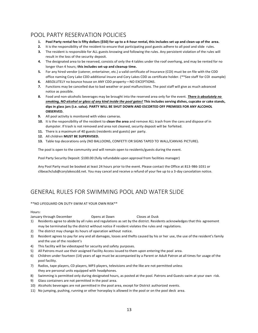## <span id="page-12-0"></span>POOL PARTY RESERVATION POLICIES

- **1. Pool Party rental fee is fifty dollars (\$50) for up to a 4-hour rental, this includes set up and clean-up of the area.**
- **2.** It is the responsibility of the resident to ensure that participating pool guests adhere to all pool and slide rules.
- **3.** The resident is responsible for ALL guests knowing and following the rules. Any persistent violation of the rules will result in the loss of the security deposit.
- **4.** The designated area to be reserved, consists of only the 4 tables under the roof overhang, and may be rented for no longer than 4 hours; **this includes set-up and cleanup time.**
- **5.** For any hired vendor (caterer, entertainer, etc.) a valid certificate of Insurance (COI) must be on file with the CDD office naming Cory Lake CDD additional insure and Cory Lakes CDD as certificate holder. (\*\*See staff for COI example)
- **6.** ABSOLUTELY no bounce house on ANY CDD property—NO EXCEPTIONS.
- **7.** Functions may be cancelled due to bad weather or pool malfunctions. The pool staff will give as much advanced notice as possible.
- **8.** Food and non-alcoholic beverages may be brought into the reserved area only for the event. *There is absolutely no smoking, NO alcohol or glass of any kind inside the pool gates!* **This includes serving dishes, cupcake or cake stands, dips in glass jars (i.e. salsa). PARTY WILL BE SHUT DOWN AND ESCORTED OFF PREMISES FOR ANY ALCOHOL OBSERVED.**
- **9.** All pool activity is monitored with video cameras.
- **10.** It is the responsibility of the resident to **clean the area** and remove ALL trash from the cans and dispose of in dumpster. If trash is not removed and area not cleaned, security deposit will be forfeited.
- **11.** There is a maximum of 40 guests (residents and guests) per party.
- **12.** All children **MUST BE SUPERVISED.**
- **13.** Table top decorations only (NO BALLOONS, CONFETTI OR SIGNS TAPED TO WALL/CANVAS PICTURE).

The pool is open to the community and will remain open to residents/guests during the event.

Pool Party Security Deposit: \$100.00 (fully refundable upon approval from facilities manager)

Any Pool Party must be booked at least 24 hours prior to the event. Please contact the Office at 813-986-1031 or [clibeachclub@corylakescdd.net. Y](mailto:clibeachclub@corylakescdd.net)ou may cancel and receive a refund of your fee up to a 3-day cancelation notice.

## <span id="page-12-1"></span>GENERAL RULES FOR SWIMMING POOL AND WATER SLIDE

#### \*\*NO LIFEGUARD ON DUTY-SWIM AT YOUR OWN RISK\*\*

#### Hours:

January through December Opens at Dawn Closes at Dusk

- 
- 1) Residents agree to abide by all rules and regulations as set by the district. Residents acknowledges that this agreement may be terminated by the district without notice if resident violates the rules and regulations.
- 2) The district may change its hours of operation without notice.
- 3) Resident agrees to pay for any and all damages, losses and thefts caused by his or her use, the use of the resident's family and the use of the resident's
- 4) This facility will be videotaped for security and safety purposes.
- 5) All Patrons must use their assigned Facility Access issued to them upon entering the pool area.
- 6) Children under fourteen (14) years of age must be accompanied by a Parent or Adult Patron at all times for usage of the pool facility.
- 7) Radios, tape players, CD players, MP3 players, televisions and the like are not permitted unless they are personal units equipped with headphones.
- 8) Swimming is permitted only during designated hours, as posted at the pool. Patrons and Guests swim at your own risk.
- 9) Glass containers are not permitted in the pool area.
- 10) Alcoholic beverages are not permitted in the pool area, except for District authorized events.
- 11) No jumping, pushing, running or other horseplay is allowed in the pool or on the pool deck area.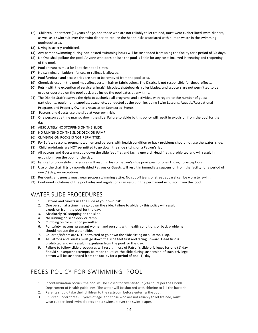- 12) Children under three (3) years of age, and those who are not reliably toilet trained, must wear rubber lined swim diapers, as well as a swim suit over the swim diaper, to reduce the health risks associated with human waste in the swimming pool/deck area.
- 13) Diving is strictly prohibited.
- 14) Any person swimming during non-posted swimming hours will be suspended from using the facility for a period of 30 days.
- 15) No One shall pollute the pool. Anyone who does pollute the pool is liable for any costs incurred in treating and reopening of the pool.
- 16) Pool entrances must be kept clear at all times.
- 17) No swinging on ladders, fences, or railings is allowed.
- 18) Pool furniture and accessories are not to be removed from the pool area.
- 19) Chemicals used in the pool may affect certain hair or fabric colors. The District is not responsible for these effects.
- 20) Pets, (with the exception of service animals), bicycles, skateboards, roller blades, and scooters are not permitted to be used or operated on the pool deck area inside the pool gates at any time.
- 21) The District Staff reserves the right to authorize all programs and activities, with regard to the number of guest participants, equipment, supplies, usage, etc. conducted at the pool, including Swim Lessons, Aquatic/Recreational Programs and Property Owner's Association Sponsored Events.
- 22) Patrons and Guests use the slide at your own risk.
- 23) One person at a time may go down the slide. Failure to abide by this policy will result in expulsion from the pool for the day.
- 24) ABSOLUTELY NO STOPPING ON THE SLIDE
- 25) NO RUNNING ON THE SLIDE DECK OR RAMP.
- 26) CLIMBING ON ROCKS IS NOT PERMITTED.
- 27) For Safety reasons, pregnant women and persons with health condition or back problems should not use the water slide.
- 28) Children/infants are NOT permitted to go down the slide sitting on a Patron's lap.
- 29) All patrons and Guests must go down the slide feet first and facing upward. Head first is prohibited and will result in expulsion from the pool for the day.
- 30) Failure to follow slide procedures will result in loss of patron's slide privileges for one (1) day, no exceptions.
- 31) Use of the chair lifts by non-disabled Patrons or Guests will result in immediate suspension from the facility for a period of one (1) day, no exceptions.
- 32) Residents and guests must wear proper swimming attire. No cut off jeans or street apparel can be worn to swim.
- 33) Continued violations of the pool rules and regulations can result in the permanent expulsion from the pool.

#### <span id="page-13-0"></span>WATER SLIDE PROCEDURES

- 1. Patrons and Guests use the slide at your own risk.
- 2. One person at a time may go down the slide. Failure to abide by this policy will result in expulsion from the pool for the day.
- 3. Absolutely NO stopping on the slide.
- 4. No running on slide deck or ramp.
- 5. Climbing on rocks is not permitted.
- 6. For safety reasons, pregnant women and persons with health conditions or back problems should not use the water slide.
- 7. Children/infants are NOT permitted to go down the slide sitting on a Patron's lap.
- 8. All Patrons and Guests must go down the slide feet first and facing upward. Head first is prohibited and will result in expulsion from the pool for the day.
- 9. Failure to follow slide procedures will result in loss of Patron's slide privileges for one (1) day. Should subsequent attempts be made to utilize the slide during suspension of such privilege, patron will be suspended from the facility for a period of one (1) day.

## <span id="page-13-1"></span>FECES POLICY FOR SWIMMING POOL

- 1. If contamination occurs, the pool will be closed for twenty-four (24) hours per the Florida Department of Health guidelines. The water will be shocked with chlorine to kill the bacteria.
- 2. Parents should take their children to the restroom before entering the pool.
- 3. Children under three (3) years of age, and those who are not reliably toilet trained, must wear rubber lined swim diapers and a swimsuit over the swim diaper.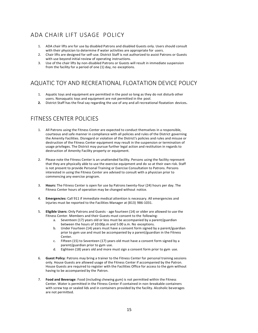# <span id="page-14-0"></span>ADA CHAIR LIFT USAGE POLICY

- 1. ADA chair lifts are for use by disabled Patrons and disabled Guests only. Users should consult with their physician to determine if water activities are appropriate for users.
- 2. Chair lifts are designed for self-use. District Staff is not authorized to assist Patrons or Guests with use beyond initial review of operating instructions.
- 3. Use of the chair lifts by non-disabled Patrons or Guests will result in immediate suspension from the facility for a period of one (1) day, no exceptions.

## <span id="page-14-1"></span>AQUATIC TOY AND RECREATIONAL FLOATATION DEVICE POLICY

- 1. Aquatic toys and equipment are permitted in the pool so long as they do not disturb other users. Nonaquatic toys and equipment are not permitted in the pool.
- **2.** District Staff has the final say regarding the use of any and all recreational floatation devices**.**

## <span id="page-14-2"></span>FITNESS CENTER POLICIES

- 1. All Patrons using the Fitness Center are expected to conduct themselves in a responsible, courteous and safe manner in compliance with all policies and rules of the District governing the Amenity Facilities. Disregard or violation of the District's policies and rules and misuse or destruction of the Fitness Center equipment may result in the suspension or termination of usage privileges. The District may pursue further legal action and restitution in regards to destruction of Amenity Facility property or equipment.
- 2. Please note the Fitness Center is an unattended facility. Persons using the facility represent that they are physically able to use the exercise equipment and do so at their own risk. Staff is not present to provide Personal Training or Exercise Consultation to Patrons. Persons interested in using the Fitness Center are advised to consult with a physician prior to commencing any exercise program.
- 3. **Hours:** The Fitness Center is open for use by Patrons twenty-four (24) hours per day. The Fitness Center hours of operation may be changed without notice.
- 4. **Emergencies:** Call 911 if immediate medical attention is necessary. All emergencies and injuries must be reported to the Facilities Manager at (813) 986-1031.
- 5. **Eligible Users:** Only Patrons and Guests age fourteen (14) or older are allowed to use the Fitness Center. Members and their Guests must consent to the following:
	- a. Seventeen (17) years old or less must be accompanied by a parent/guardian between the hours of 10:00p.m and 5:00 a.m. No exceptions.
	- b. Under Fourteen (14) years must have a consent form signed by a parent/guardian prior to gym use and must be accompanied by a parent/guardian in the Fitness Center.
	- c. Fifteen (15) to Seventeen (17) years old must have a consent form signed by a parent/guardian prior to gym use.
	- d. Eighteen (18) years old and more must sign a consent form prior to gym use.
- 6. **Guest Policy**: Patrons may bring a trainer to the Fitness Center for personal training sessions only. House Guests are allowed usage of the Fitness Center if accompanied by the Patron. House Guests are required to register with the Facilities Office for access to the gym without having to be accompanied by the Patron.
- 7. **Food and Beverage**: Food (including chewing gum) is not permitted within the Fitness Center. Water is permitted in the Fitness Center if contained in non-breakable containers with screw top or sealed lids and in containers provided by the facility. Alcoholic beverages are not permitted.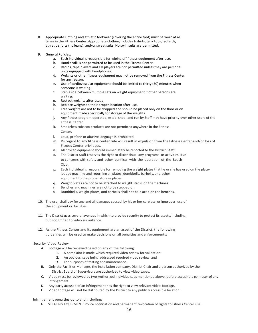- 8. Appropriate clothing and athletic footwear (covering the entire foot) must be worn at all times in the Fitness Center. Appropriate clothing includes t-shirts, tank tops, leotards, athletic shorts (no jeans), and/or sweat suits. No swimsuits are permitted.
- 9. General Policies:
	- a. Each individual is responsible for wiping off fitness equipment after use.
	- b. Hand chalk is not permitted to be used in the Fitness Center.
	- c. Radios, tape players and CD players are not permitted unless they are personal units equipped with headphones.
	- d. Weights or other fitness equipment may not be removed from the Fitness Center for any reason.
	- e. Use of cardiovascular equipment should be limited to thirty (30) minutes when someone is waiting.
	- f. Step aside between multiple sets on weight equipment if other persons are waiting.
	- g. Restack weights after usage.
	- h. Replace weights to their proper location after use.
	- i. Free weights are not to be dropped and should be placed only on the floor or on equipment made specifically for storage of the weights.
	- j. Any fitness program operated, established, and run by Staff may have priority over other users of the Fitness Center.
	- k. Smokeless tobacco products are not permitted anywhere in the Fitness Center.
	- l. Loud, profane or abusive language is prohibited.
	- m. Disregard to any fitness center rule will result in expulsion from the Fitness Center and/or loss of Fitness Center privileges.
	- n. All broken equipment should immediately be reported to the District Staff.
	- o. The District Staff reserves the right to discontinue any programs or activities due to concerns with safety and other conflicts with the operation of the Beach Club.
	- p. Each individual is responsible for removing the weight plates that he or she has used on the plateloaded machine and returning all plates, dumbbells, barbells, and other equipment to the proper storage places.
	- q. Weight plates are not to be attached to weight stacks on themachines.
	- r. Benches and machines are not to be stepped on.
	- s. Dumbbells, weight plates, and barbells shall not be placed on the benches.
- 10. The user shall pay for any and all damages caused by his or her careless or improper use of the equipment or facilities.
- 11. The District uses several avenues in which to provide security to protect its assets, including but not limited to video surveillance.
- 12. As the Fitness Center and its equipment are an asset of the District, the following guidelines will be used to make decisions on all penalties andenforcements:

#### Security Video Review:

- A. Footage will be reviewed based on any of the following:
	- 1. A complaint is made which required video review for validation:
	- 2. An obvious issue being addressed required video review; and
	- 3. For purposes of testing and maintenance.
- B. Only the Facilities Manager, the installation company, District Chair and a person authorized by the District Board of Supervisors are authorized to view video tapes.
- C. Video must be reviewed by two Authorized individuals, as mentioned above, before accusing a gym user of any infringement.
- D. Any party accused of an infringement has the right to view relevant video footage.
- E. Video footage will not be distributed by the District to any publicly accessible location.

Infringement penalties up to and including:

A. STEALING EQUIPMENT: Police notification and permanent revocation of rights to Fitness Center use.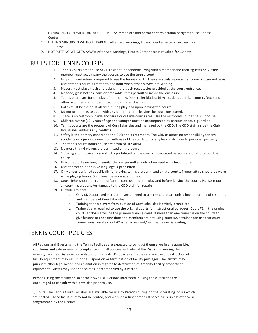- B. DAMAGING EQUIPMENT AND/OR PREMISES: Immediate and permanent revocation of rights to use Fitness Center.
- C. LETTING MINORS IN WITHOUT PARENT: After two warnings, Fitness Center access revoked for 90 days.
- D. NOT PUTTING WEIGHTS AWAY: After two warnings, Fitness Center access revoked for 30 days.

#### <span id="page-16-0"></span>RULES FOR TENNIS COURTS

- 1. Tennis Courts are for use of CLI resident, dependents living with a member and their \*guests only. \*the member must accompany the guest/s to use the tennis court.
- 2. No prior reservation is required to use the tennis courts. They are available on a first come first served basis. Use of tennis court is limited to one hour when other players are waiting.
- 3. Players must place trash and debris in the trash receptacles provided at the court entrances.
- 4. No food, glass bottles, cans or breakable items permitted inside the enclosure.
- 5. Tennis courts are for the play of tennis only. Pets, roller blades, bicycles, skateboards, scooters (etc.) and other activities are not permitted inside the enclosures.
- 6. Gates must be closed at all time during play and upon leaving the courts.
- 7. Do not prop the gate open with any other material leaving the court unsecured.
- 8. There is no restroom inside enclosure or outside courts area. Use the restrooms inside the clubhouse.
- 9. Children twelve (12) years of age and younger must be accompanied by parents or adult guardian.
- 10. Tennis courts are the property of Cory Lake Isles and managed by the CDD. The CDD staff inside the Club House shall address any conflicts.
- 11. Safety is the primary concern to the CDD and its members. The CDD assumes no responsibility for any accidents or injury in connection with use of the courts or for any loss or damage to personal property.
- 12. The tennis courts hours of use are dawn to 10:30PM.
- 13. No more than 4 players are permitted on the court.
- 14. Smoking and intoxicants are strictly prohibited on the courts. Intoxicated persons are prohibited on the courts.
- 15. Use of radio, television, or similar devices permitted only when used with headphones.
- 16. Use of profane or abusive language is prohibited.
- 17. Only shoes designed specifically for playing tennis are permitted on the courts. Proper attire should be worn while playing tennis. Shirt must be worn at all times.
- 18. Court lights should be turned off at the conclusion of the play and before leaving the courts. Please report all court hazards and/or damage to the CDD staff for repairs.
- 19. Outside Trainers
	- a. Only CDD approved instructors are allowed to use the courts are only allowed training of residents and members of Cory Lake isles.
	- b. Training tennis players from outside of Cory Lake Isles is strictly prohibited.
	- c. Trainer/s are required to use the original courts for instructional purposes. Court #1 in the original courts enclosure will be the primary training court. If more than one trainer is on the courts to give lessons at the same time and members are not using court #2, a trainer can use that court. Trainer must vacate court #2 when a resident/member player is waiting.

# <span id="page-16-1"></span>TENNIS COURT POLICIES

All Patrons and Guests using the Tennis Facilities are expected to conduct themselves in a responsible, courteous and safe manner in compliance with all policies and rules of the District governing the amenity facilities. Disregard or violation of the District's policies and rules and misuse or destruction of facility equipment may result in the suspension or termination of facility privileges. The District may pursue further legal action and restitution in regards to destruction of Amenity Facility property or equipment. Guests may use the facilities if accompanied by a Patron.

Persons using the facility do so at their own risk. Persons interested in using these facilities are encouraged to consult with a physician prior to use.

I) Hours: The Tennis Court Facilities are available for use by Patrons during normal operating hours which are posted. These facilities may not be rented, and work on a first come first serve basis unless otherwise programmed by the District.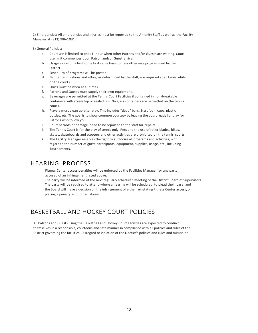2) Emergencies: All emergencies and injuries must be reported to the Amenity Staff as well as the Facility Manager at (813) 986-1031. ·

3) General Policies:

- a. Court use is limited to one (1) hour when other Patrons and/or Guests are waiting. Court use limit commences upon Patron and/or Guest arrival.
- b. Usage works on a first come first serve basis, unless otherwise programmed by the District.
- c. Schedules of programs will be posted.
- d. Proper tennis shoes and attire, as determined by the staff, are required at all times while on the courts.
- e. Shirts must be worn at all times.
- f. Patrons and Guests must supply their own equipment.
- g. Beverages are permitted at the Tennis Court Facilities if contained in non-breakable containers with screw top or sealed lids. No glass containers are permitted on the tennis courts.
- h. Players must clean up after play. This includes "dead" balls, Styrofoam cups, plastic bottles, etc. The goal is to show common courtesy by leaving the court ready for play for Patrons who follow you.
- i. Court hazards or damage, need to be reported to the staff for repairs.
- j. The Tennis Court is for the play of tennis only. Pets and the use of roller blades, bikes, skates, skateboards and scooters and other activities are prohibited on the tennis courts.
- k. The Facility Manager reserves the right to authorize all programs and activities, with regard to the number of guest participants, equipment, supplies, usage, etc., including Tournaments.

#### HEARING PROCESS

Fitness Center access penalties will be enforced by the Facilities Manager for any party accused of an infringement listed above.

The party will be informed of the next regularly scheduled meeting of the District Board of Supervisors. The party will be required to attend where a hearing will be scheduled to plead their case; and the Board will make a decision on the infringement of either reinstating Fitness Center access; or placing a penalty as outlined above.

## <span id="page-17-0"></span>BASKETBALL AND HOCKEY COURT POLICIES

All Patrons and Guests using the Basketball and Hockey Court Facilities are expected to conduct themselves in a responsible, courteous and safe manner in compliance with all policies and rules of the District governing the facilities. Disregard or violation of the District's policies and rules and misuse or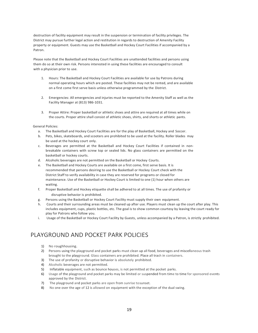destruction of facility equipment may result in the suspension or termination of facility privileges. The District may pursue further legal action and restitution in regards to destruction of Amenity Facility property or equipment. Guests may use the Basketball and Hockey Court Facilities if accompanied by a Patron.

Please note that the Basketball and Hockey Court Facilities are unattended facilities and persons using them do so at their own risk. Persons interested in using these facilities are encouraged to consult with a physician prior to use.

- 1. Hours: The Basketball and Hockey Court Facilities are available for use by Patrons during normal operating hours which are posted. These facilities may not be rented, and are available on a first come first serve basis unless otherwise programmed by the District.
- 2. Emergencies: All emergencies and injuries must be reported to the Amenity Staff as well as the Facility Manager at (813) 986-1031.
- 3. Proper Attire: Proper basketball or athletic shoes and attire are required at all times while on the courts. Proper attire shall consist of athletic shoes, shirts, and shorts or athletic pants.

General Policies:

- a. The Basketball and Hockey Court Facilities are for the play of Basketball, Hockey and Soccer.
- b. Pets, bikes, skateboards, and scooters are prohibited to be used at the facility. Roller blades may be used at the hockey court only.
- c. Beverages are permitted at the Basketball and Hockey Court Facilities if contained in nonbreakable containers with screw top or sealed lids. No glass containers are permitted on the basketball or hockey courts.
- d. Alcoholic beverages are not permitted on the Basketball or Hockey Courts.
- e. The Basketball and Hockey Courts are available on a first come, first serve basis. It is recommended that persons desiring to use the Basketball or Hockey Court check with the District Staff to verify availability in case they are reserved for programs or closed for maintenance. Use of the Basketball or Hockey Court is limited to one (1) hour when others are waiting.
- f. Proper Basketball and Hockey etiquette shall be adhered to at all times. The use of profanity or disruptive behavior is prohibited.
- g. Persons using the Basketball or Hockey Court Facility must supply their own equipment.
- Courts and their surrounding areas must be cleaned up after use. Players must clean up the court after play. This includes equipment, cups, plastic bottles, etc. The goal is to show common courtesy by leaving the court ready for play for Patrons who follow you.
- i. Usage of the Basketball or Hockey Court Facility by Guests, unless accompanied by a Patron, is strictly prohibited.

## <span id="page-18-1"></span><span id="page-18-0"></span>PLAYGROUND AND POCKET PARK POLICIES

- 1) No roughhousing.
- 2) Persons using the playground and pocket parks must clean up all food, beverages and miscellaneous trash brought to the playground. Glass containers are prohibited. Place all trash in containers.
- 3) The use of profanity or disruptive behavior is absolutely prohibited.
- 4) Alcoholic beverages are not permitted.
- 5) Inflatable equipment, such as bounce houses, is not permitted at the pocket parks.
- 6) Usage of the playground and pocket parks may be limited or suspended from time to time for sponsored events approved by the District.
- 7) The playground and pocket parks are open from sunrise tosunset.
- 8) No one over the age of 12 is allowed on equipment with the exception of the dual swing.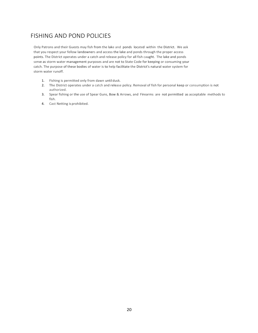## <span id="page-19-0"></span>FISHING AND POND POLICIES

Only Patrons and their Guests may fish from the lake and ponds located within the District. We ask that you respect your fellow landowners and access the lake and ponds through the proper access points. The District operates under a catch and release policy for all fish caught. The lake and ponds serve as storm water management purposes and are not to State Code for keeping or consuming your catch. The purpose of these bodies of water is to help facilitate the District's natural water system for storm water runoff.

- 1. Fishing is permitted only from dawn until dusk.
- 2. The District operates under a catch and release policy. Removal of fish for personal keep or consumption is not authorized.
- 3. Spear fishing or the use of Spear Guns, Bow & Arrows, and Firearms are not permitted as acceptable methods to fish.
- 4. Cast Netting is prohibited.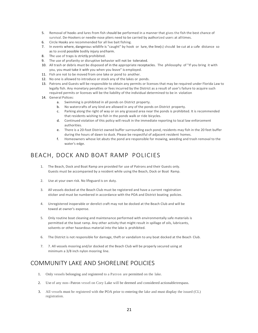- 5. Removal of hooks and lures from fish should be performed in a manner that gives the fish the best chance of survival. De-Hookers or needle-nose pliers need to be carried by authorized users at alltimes.
- 6. Circle Hooks are recommended for all live bait fishing.
- 7. In events where, dangerous wildlife is "caught" by hook or lure, the line(s) should be cut at a safe distance so as to avoid possible bodily injury andharm.
- 8. The use of traps is strictly prohibited.
- 9. The use of profanity or disruptive behavior will not be tolerated.
- 10. All trash or debris must be disposed of in the appropriate receptacles. The philosophy of "If you bring it with you, you must take it with you when you leave" is employed.
- 11. Fish are not to be moved from one lake or pond to another.
- 12. No one is allowed to introduce or stock any of the lakes or ponds.
- 13. Patrons and Guests will be responsible to obtain any permits or licenses that may be required under Florida Law to legally fish. Any monetary penalties or fees incurred by the District as a result of user's failure to acquire such required permits or licenses will be the liability of the individual determined to be in violation
- 14. General Polices:
	- a. Swimming is prohibited in all ponds on District property.
	- b. No watercrafts of any kind are allowed in any of the ponds on District property.
	- c. Parking along the right of way or on any grassed area near the ponds is prohibited. It is recommended that residents wishing to fish in the ponds walk or ride bicycles.
	- d. Continued violation of this policy will result in the immediate reporting to local law enforcement authorities.
	- e. There is a 20-foot District owned buffer surrounding each pond, residents may fish in the 20 feet buffer during the hours of dawn to dusk. Please be respectful of adjacent resident homes.
	- f. Homeowners whose lot abuts the pond are responsible for mowing, weeding and trash removal to the water's edge.

## <span id="page-20-0"></span>BEACH, DOCK AND BOAT RAMP POLICIES

- 1. The Beach, Dock and Boat Ramp are provided for use of Patrons and their Guests only. Guests must be accompanied by a resident while using the Beach, Dock or Boat Ramp.
- 2. Use at your own risk. No lifeguard is on duty.
- 3. All vessels docked at the Beach Club must be registered and have a current registration sticker and must be numbered in accordance with the POA and District boating policies.
- 4. Unregistered inoperable or derelict craft may not be docked at the Beach Club and will be towed at owner's expense.
- 5. Only routine boat cleaning and maintenance performed with environmentally safe materials is permitted at the boat ramp. Any other activity that might result in spillage of oils, lubricants, solvents or other hazardous material into the lake is prohibited.
- 6. The District is not responsible for damage, theft or vandalism to any boat docked at the Beach Club.
- 7. 7. All vessels mooring and/or docked at the Beach Club will be properly secured using at minimum a 3/8 inch nylon mooring line.

## <span id="page-20-1"></span>COMMUNITY LAKE AND SHORELINE POLICIES

- 1. Only vessels belonging and registered to a Patron are permitted on the lake.
- 2. Use of any non--Patron vessel on Cory Lake will be deemed and considered actionabletrespass.
- 3. All vessels must be registered with the POA prior to entering the lake and must display the issued (CL) registration.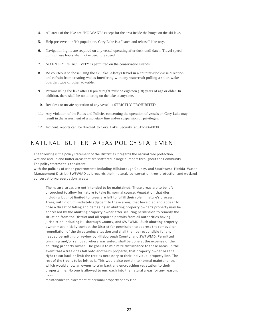- 4. All areas of the lake are "NO WAKE" except for the area inside the buoys on the ski lake.
- 5. Help preserve our fish population. Cory Lake is a "catch and release" lake ony.
- 6. Navigation lights are required on any vessel operating after dusk until dawn. Travel speed during these hours shall not exceed idle speed.
- 7. NO ENTRY OR ACTIVITY is permitted on the conservation islands.
- 8. Be courteous to those using the ski lake. Always travel in a counter-clockwise direction and refrain from creating wakes interfering with any watercraft pulling a skier, wake boarder, tube or other towable.
- 9. Persons using the lake after I 0 pm at night must be eighteen (18) years of age or older. In addition, there shall be no loitering on the lake at any time.
- 10. Reckless or unsafe operation of any vessel is STRICTLY PROHIBITED.
- 11. Any violation of the Rules and Policies concerning the operation of vessels on Cory Lake may result in the assessment of a monetary fine and/or suspension of privileges.
- 12. Incident reports can be directed to Cory Lake Security at 813-986-0030.

#### <span id="page-21-0"></span>NATURAL BUFFER AREAS POLICY STATEMENT

The following is the policy statement of the District as it regards the natural tree protection, wetland and upland buffer areas that are scattered in large numbers throughout the Community. The policy statement is consistent

with the policies of other governments including Hillsborough County, and Southwest Florida Water Management District (SWFWMD as it regards their natural, conservation tree protection and wetland conservation/preservation areas:

The natural areas are not intended to be maintained. These areas are to be left untouched to allow for nature to take its normal course. Vegetation that dies, including but not limited to, trees are left to fulfill their role in nature's process. Trees, within or immediately adjacent to these areas, that have died and appear to pose a threat of falling and damaging an abutting property owner's property may be addressed by the abutting property owner after securing permission to remedy the situation from the District and all required permits from all authorities having jurisdiction including Hillsborough County, and SWFWMD. Such abutting property owner must initially contact the District for permission to address the removal or remediation of the threatening situation and shall then be responsible for any needed permitting or review by Hillsborough County, and SWFWMD. Permitted trimming and/or removal, where warranted, shall be done at the expense of the abutting property owner. The goal is to minimize disturbance to these areas. In the event that a tree does fall onto another's property, that property owner has the right to cut back or limb the tree as necessary to their individual property line. The rest of the tree is to be left as is. This would also pertain to normal maintenance, which would allow an owner to trim back any encroaching vegetation to their property line. No one is allowed to encroach into the natural areas for any reason, from

maintenance to placement of personal property of any kind.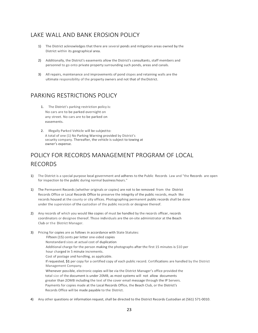## <span id="page-22-0"></span>LAKE WALL AND BANK EROSION POLICY

- 1) The District acknowledges that there are several ponds and mitigation areas owned by the District within its geographical area.
- 2) Additionally, the District's easements allow the District's consultants, staff members and personnel to go onto private property surrounding such ponds, areas and canals.
- 3) All repairs, maintenance and improvements of pond slopes and retaining walls are the ultimate responsibility of the property owners and not that of theDistrict.

# <span id="page-22-1"></span>PARKING RESTRICTIONS POLICY

- 1. The District's parking restriction policy is: No cars are to be parked overnight on any street. No cars are to be parked on easements.
- 2. Illegally Parked Vehicle will be subjectto: A total of one (1) No Parking Warning provided by District's security company. Thereafter, the vehicle is subject to towing at owner's expense.

# <span id="page-22-2"></span>POLICY FOR RECORDS MANAGEMENT PROGRAM OF LOCAL RECORDS

- 1) The District is a special purpose local government and adheres to the Public Records Law and "the Records are open for inspection to the public during normal business hours."
- 1) The Permanent Records (whether originals or copies) are not to be removed from the District Records Office or Local Records Office to preserve the integrity of the public records, much like records housed at the county or city offices. Photographing permanent public records shall be done under the supervision of the custodian of the public records or designee thereof.
- 2) Any records of which you would like copies of must be handled by the records officer, records coordinators or designee thereof. Those individuals are the on-site administrator at the Beach Club or the District Manager.
- 3) Pricing for copies are as follows in accordance with State Statutes: Fifteen (15) cents per letter one-sided copies Nonstandard sizes at actual cost of duplication Additional charge for the person making the photographs after the first 15 minutes is \$10 per hour charged in 5 minute increments. Cost of postage and handling, as applicable. If requested, **\$1** per copy for a certified copy of each public record. Certifications are handled by the District Management Company. Whenever possible, electronic copies will be via the District Manager's office provided the total size of the document is under 20MB, as most systems will not allow documents greater than 2OMB including the text of the cover email message through the IP Servers. Payments for copies made at the Local Records Office, the Beach Club, or the District's Records Office will be made payable to the District.
- 4) Any other questions or information request, shall be directed to the District Records Custodian at (561) 571-0010.